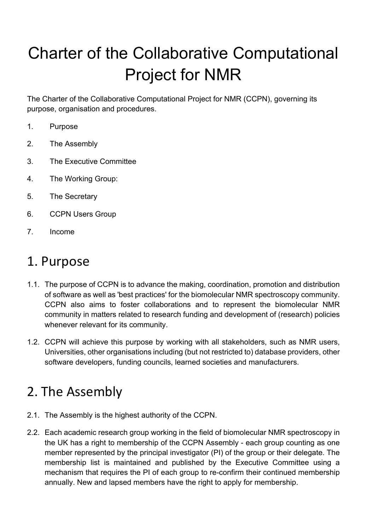# Charter of the Collaborative Computational Project for NMR

The Charter of the Collaborative Computational Project for NMR (CCPN), governing its purpose, organisation and procedures.

- 1. Purpose
- 2. The Assembly
- 3. The Executive Committee
- 4. The Working Group:
- 5. The Secretary
- 6. CCPN Users Group
- 7. Income

#### 1. Purpose

- 1.1. The purpose of CCPN is to advance the making, coordination, promotion and distribution of software as well as 'best practices' for the biomolecular NMR spectroscopy community. CCPN also aims to foster collaborations and to represent the biomolecular NMR community in matters related to research funding and development of (research) policies whenever relevant for its community.
- 1.2. CCPN will achieve this purpose by working with all stakeholders, such as NMR users, Universities, other organisations including (but not restricted to) database providers, other software developers, funding councils, learned societies and manufacturers.

#### 2. The Assembly

- 2.1. The Assembly is the highest authority of the CCPN.
- 2.2. Each academic research group working in the field of biomolecular NMR spectroscopy in the UK has a right to membership of the CCPN Assembly - each group counting as one member represented by the principal investigator (PI) of the group or their delegate. The membership list is maintained and published by the Executive Committee using a mechanism that requires the PI of each group to re-confirm their continued membership annually. New and lapsed members have the right to apply for membership.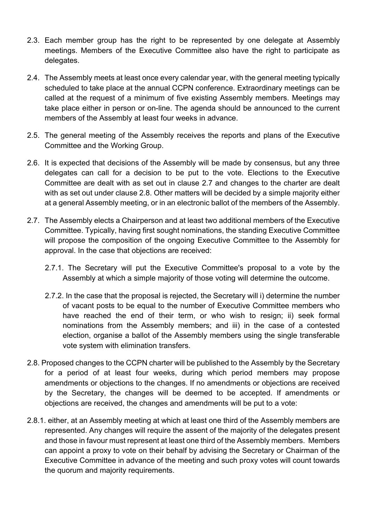- 2.3. Each member group has the right to be represented by one delegate at Assembly meetings. Members of the Executive Committee also have the right to participate as delegates.
- 2.4. The Assembly meets at least once every calendar year, with the general meeting typically scheduled to take place at the annual CCPN conference. Extraordinary meetings can be called at the request of a minimum of five existing Assembly members. Meetings may take place either in person or on-line. The agenda should be announced to the current members of the Assembly at least four weeks in advance.
- 2.5. The general meeting of the Assembly receives the reports and plans of the Executive Committee and the Working Group.
- 2.6. It is expected that decisions of the Assembly will be made by consensus, but any three delegates can call for a decision to be put to the vote. Elections to the Executive Committee are dealt with as set out in clause 2.7 and changes to the charter are dealt with as set out under clause 2.8. Other matters will be decided by a simple majority either at a general Assembly meeting, or in an electronic ballot of the members of the Assembly.
- 2.7. The Assembly elects a Chairperson and at least two additional members of the Executive Committee. Typically, having first sought nominations, the standing Executive Committee will propose the composition of the ongoing Executive Committee to the Assembly for approval. In the case that objections are received:
	- 2.7.1. The Secretary will put the Executive Committee's proposal to a vote by the Assembly at which a simple majority of those voting will determine the outcome.
	- 2.7.2. In the case that the proposal is rejected, the Secretary will i) determine the number of vacant posts to be equal to the number of Executive Committee members who have reached the end of their term, or who wish to resign; ii) seek formal nominations from the Assembly members; and iii) in the case of a contested election, organise a ballot of the Assembly members using the single transferable vote system with elimination transfers.
- 2.8. Proposed changes to the CCPN charter will be published to the Assembly by the Secretary for a period of at least four weeks, during which period members may propose amendments or objections to the changes. If no amendments or objections are received by the Secretary, the changes will be deemed to be accepted. If amendments or objections are received, the changes and amendments will be put to a vote:
- 2.8.1. either, at an Assembly meeting at which at least one third of the Assembly members are represented. Any changes will require the assent of the majority of the delegates present and those in favour must represent at least one third of the Assembly members. Members can appoint a proxy to vote on their behalf by advising the Secretary or Chairman of the Executive Committee in advance of the meeting and such proxy votes will count towards the quorum and majority requirements.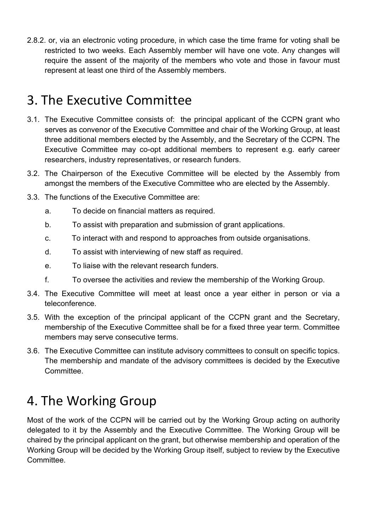2.8.2. or, via an electronic voting procedure, in which case the time frame for voting shall be restricted to two weeks. Each Assembly member will have one vote. Any changes will require the assent of the majority of the members who vote and those in favour must represent at least one third of the Assembly members.

#### 3. The Executive Committee

- 3.1. The Executive Committee consists of: the principal applicant of the CCPN grant who serves as convenor of the Executive Committee and chair of the Working Group, at least three additional members elected by the Assembly, and the Secretary of the CCPN. The Executive Committee may co-opt additional members to represent e.g. early career researchers, industry representatives, or research funders.
- 3.2. The Chairperson of the Executive Committee will be elected by the Assembly from amongst the members of the Executive Committee who are elected by the Assembly.
- 3.3. The functions of the Executive Committee are:
	- a. To decide on financial matters as required.
	- b. To assist with preparation and submission of grant applications.
	- c. To interact with and respond to approaches from outside organisations.
	- d. To assist with interviewing of new staff as required.
	- e. To liaise with the relevant research funders.
	- f. To oversee the activities and review the membership of the Working Group.
- 3.4. The Executive Committee will meet at least once a year either in person or via a teleconference.
- 3.5. With the exception of the principal applicant of the CCPN grant and the Secretary, membership of the Executive Committee shall be for a fixed three year term. Committee members may serve consecutive terms.
- 3.6. The Executive Committee can institute advisory committees to consult on specific topics. The membership and mandate of the advisory committees is decided by the Executive Committee.

## 4. The Working Group

Most of the work of the CCPN will be carried out by the Working Group acting on authority delegated to it by the Assembly and the Executive Committee. The Working Group will be chaired by the principal applicant on the grant, but otherwise membership and operation of the Working Group will be decided by the Working Group itself, subject to review by the Executive Committee.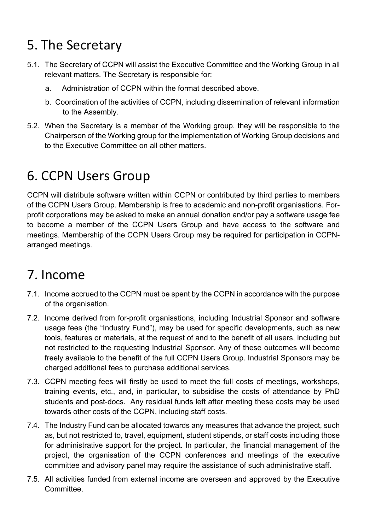## 5. The Secretary

- 5.1. The Secretary of CCPN will assist the Executive Committee and the Working Group in all relevant matters. The Secretary is responsible for:
	- a. Administration of CCPN within the format described above.
	- b. Coordination of the activities of CCPN, including dissemination of relevant information to the Assembly.
- 5.2. When the Secretary is a member of the Working group, they will be responsible to the Chairperson of the Working group for the implementation of Working Group decisions and to the Executive Committee on all other matters.

## 6. CCPN Users Group

CCPN will distribute software written within CCPN or contributed by third parties to members of the CCPN Users Group. Membership is free to academic and non-profit organisations. Forprofit corporations may be asked to make an annual donation and/or pay a software usage fee to become a member of the CCPN Users Group and have access to the software and meetings. Membership of the CCPN Users Group may be required for participation in CCPNarranged meetings.

### 7. Income

- 7.1. Income accrued to the CCPN must be spent by the CCPN in accordance with the purpose of the organisation.
- 7.2. Income derived from for-profit organisations, including Industrial Sponsor and software usage fees (the "Industry Fund"), may be used for specific developments, such as new tools, features or materials, at the request of and to the benefit of all users, including but not restricted to the requesting Industrial Sponsor. Any of these outcomes will become freely available to the benefit of the full CCPN Users Group. Industrial Sponsors may be charged additional fees to purchase additional services.
- 7.3. CCPN meeting fees will firstly be used to meet the full costs of meetings, workshops, training events, etc., and, in particular, to subsidise the costs of attendance by PhD students and post-docs. Any residual funds left after meeting these costs may be used towards other costs of the CCPN, including staff costs.
- 7.4. The Industry Fund can be allocated towards any measures that advance the project, such as, but not restricted to, travel, equipment, student stipends, or staff costs including those for administrative support for the project. In particular, the financial management of the project, the organisation of the CCPN conferences and meetings of the executive committee and advisory panel may require the assistance of such administrative staff.
- 7.5. All activities funded from external income are overseen and approved by the Executive Committee.